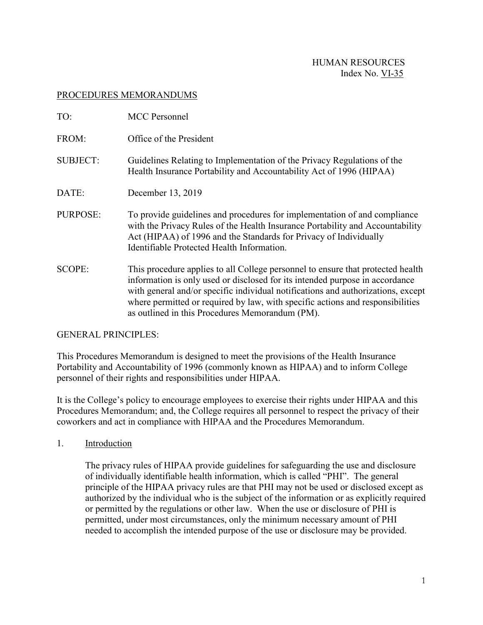## PROCEDURES MEMORANDUMS

| TO:             | <b>MCC</b> Personnel                                                                                                                                                                                                                                                                                                                                                                     |
|-----------------|------------------------------------------------------------------------------------------------------------------------------------------------------------------------------------------------------------------------------------------------------------------------------------------------------------------------------------------------------------------------------------------|
| FROM:           | Office of the President                                                                                                                                                                                                                                                                                                                                                                  |
| <b>SUBJECT:</b> | Guidelines Relating to Implementation of the Privacy Regulations of the<br>Health Insurance Portability and Accountability Act of 1996 (HIPAA)                                                                                                                                                                                                                                           |
| DATE:           | December 13, 2019                                                                                                                                                                                                                                                                                                                                                                        |
| PURPOSE:        | To provide guidelines and procedures for implementation of and compliance<br>with the Privacy Rules of the Health Insurance Portability and Accountability<br>Act (HIPAA) of 1996 and the Standards for Privacy of Individually<br>Identifiable Protected Health Information.                                                                                                            |
| <b>SCOPE:</b>   | This procedure applies to all College personnel to ensure that protected health<br>information is only used or disclosed for its intended purpose in accordance<br>with general and/or specific individual notifications and authorizations, except<br>where permitted or required by law, with specific actions and responsibilities<br>as outlined in this Procedures Memorandum (PM). |

### GENERAL PRINCIPLES:

This Procedures Memorandum is designed to meet the provisions of the Health Insurance Portability and Accountability of 1996 (commonly known as HIPAA) and to inform College personnel of their rights and responsibilities under HIPAA.

It is the College's policy to encourage employees to exercise their rights under HIPAA and this Procedures Memorandum; and, the College requires all personnel to respect the privacy of their coworkers and act in compliance with HIPAA and the Procedures Memorandum.

1. Introduction

The privacy rules of HIPAA provide guidelines for safeguarding the use and disclosure of individually identifiable health information, which is called "PHI". The general principle of the HIPAA privacy rules are that PHI may not be used or disclosed except as authorized by the individual who is the subject of the information or as explicitly required or permitted by the regulations or other law. When the use or disclosure of PHI is permitted, under most circumstances, only the minimum necessary amount of PHI needed to accomplish the intended purpose of the use or disclosure may be provided.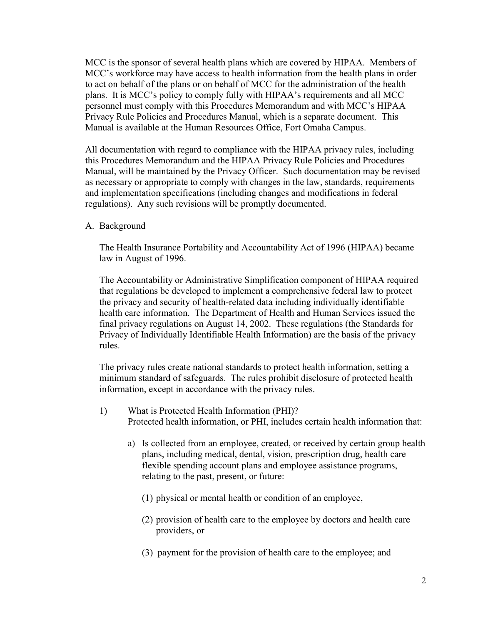MCC is the sponsor of several health plans which are covered by HIPAA. Members of MCC's workforce may have access to health information from the health plans in order to act on behalf of the plans or on behalf of MCC for the administration of the health plans. It is MCC's policy to comply fully with HIPAA's requirements and all MCC personnel must comply with this Procedures Memorandum and with MCC's HIPAA Privacy Rule Policies and Procedures Manual, which is a separate document. This Manual is available at the Human Resources Office, Fort Omaha Campus.

All documentation with regard to compliance with the HIPAA privacy rules, including this Procedures Memorandum and the HIPAA Privacy Rule Policies and Procedures Manual, will be maintained by the Privacy Officer. Such documentation may be revised as necessary or appropriate to comply with changes in the law, standards, requirements and implementation specifications (including changes and modifications in federal regulations). Any such revisions will be promptly documented.

A. Background

The Health Insurance Portability and Accountability Act of 1996 (HIPAA) became law in August of 1996.

The Accountability or Administrative Simplification component of HIPAA required that regulations be developed to implement a comprehensive federal law to protect the privacy and security of health-related data including individually identifiable health care information. The Department of Health and Human Services issued the final privacy regulations on August 14, 2002. These regulations (the Standards for Privacy of Individually Identifiable Health Information) are the basis of the privacy rules.

The privacy rules create national standards to protect health information, setting a minimum standard of safeguards. The rules prohibit disclosure of protected health information, except in accordance with the privacy rules.

- 1) What is Protected Health Information (PHI)? Protected health information, or PHI, includes certain health information that:
	- a) Is collected from an employee, created, or received by certain group health plans, including medical, dental, vision, prescription drug, health care flexible spending account plans and employee assistance programs, relating to the past, present, or future:
		- (1) physical or mental health or condition of an employee,
		- (2) provision of health care to the employee by doctors and health care providers, or
		- (3) payment for the provision of health care to the employee; and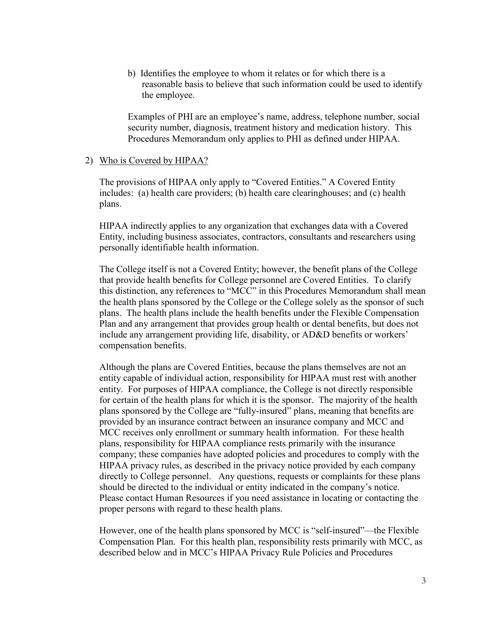b) Identifies the employee to whom it relates or for which there is a reasonable basis to believe that such information could be used to identify the employee.

Examples of PHI are an employee's name, address, telephone number, social security number, diagnosis, treatment history and medication history. This Procedures Memorandum only applies to PHI as defined under HIPAA.

### 2) Who is Covered by HIPAA?

The provisions of HIPAA only apply to "Covered Entities." A Covered Entity includes: (a) health care providers; (b) health care clearinghouses; and (c) health plans.

HIPAA indirectly applies to any organization that exchanges data with a Covered Entity, including business associates, contractors, consultants and researchers using personally identifiable health information.

The College itself is not a Covered Entity; however, the benefit plans of the College that provide health benefits for College personnel are Covered Entities. To clarify this distinction, any references to "MCC" in this Procedures Memorandum shall mean the health plans sponsored by the College or the College solely as the sponsor of such plans.The health plans include the health benefits under the Flexible Compensation Plan and any arrangement that provides group health or dental benefits, but does not include any arrangement providing life, disability, or AD&D benefits or workers' compensation benefits.

Although the plans are Covered Entities, because the plans themselves are not an entity capable of individual action, responsibility for HIPAA must rest with another entity. For purposes of HIPAA compliance, the College is not directly responsible for certain of the health plans for which it is the sponsor. The majority of the health plans sponsored by the College are "fully-insured" plans, meaning that benefits are provided by an insurance contract between an insurance company and MCC and MCC receives only enrollment or summary health information. For these health plans, responsibility for HIPAA compliance rests primarily with the insurance company; these companies have adopted policies and procedures to comply with the HIPAA privacy rules, as described in the privacy notice provided by each company directly to College personnel. Any questions, requests or complaints for these plans should be directed to the individual or entity indicated in the company's notice. Please contact Human Resources if you need assistance in locating or contacting the proper persons with regard to these health plans.

However, one of the health plans sponsored by MCC is "self-insured"—the Flexible Compensation Plan. For this health plan, responsibility rests primarily with MCC, as described below and in MCC's HIPAA Privacy Rule Policies and Procedures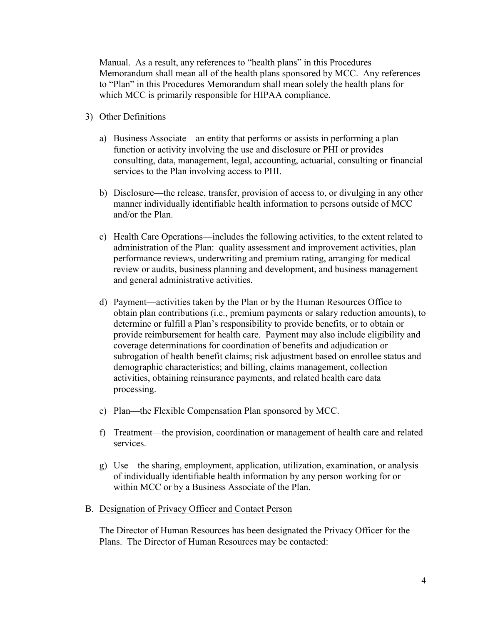Manual. As a result, any references to "health plans" in this Procedures Memorandum shall mean all of the health plans sponsored by MCC. Any references to "Plan" in this Procedures Memorandum shall mean solely the health plans for which MCC is primarily responsible for HIPAA compliance.

### 3) Other Definitions

- a) Business Associate—an entity that performs or assists in performing a plan function or activity involving the use and disclosure or PHI or provides consulting, data, management, legal, accounting, actuarial, consulting or financial services to the Plan involving access to PHI.
- b) Disclosure—the release, transfer, provision of access to, or divulging in any other manner individually identifiable health information to persons outside of MCC and/or the Plan.
- c) Health Care Operations—includes the following activities, to the extent related to administration of the Plan: quality assessment and improvement activities, plan performance reviews, underwriting and premium rating, arranging for medical review or audits, business planning and development, and business management and general administrative activities.
- d) Payment—activities taken by the Plan or by the Human Resources Office to obtain plan contributions (i.e., premium payments or salary reduction amounts), to determine or fulfill a Plan's responsibility to provide benefits, or to obtain or provide reimbursement for health care. Payment may also include eligibility and coverage determinations for coordination of benefits and adjudication or subrogation of health benefit claims; risk adjustment based on enrollee status and demographic characteristics; and billing, claims management, collection activities, obtaining reinsurance payments, and related health care data processing.
- e) Plan—the Flexible Compensation Plan sponsored by MCC.
- f) Treatment—the provision, coordination or management of health care and related services.
- g) Use—the sharing, employment, application, utilization, examination, or analysis of individually identifiable health information by any person working for or within MCC or by a Business Associate of the Plan.
- B. Designation of Privacy Officer and Contact Person

The Director of Human Resources has been designated the Privacy Officer for the Plans. The Director of Human Resources may be contacted: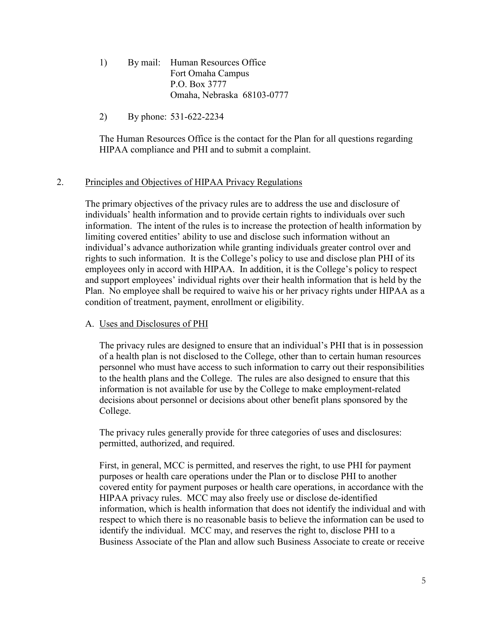- 1) By mail: Human Resources Office Fort Omaha Campus P.O. Box 3777 Omaha, Nebraska 68103-0777
- 2) By phone: 531-622-2234

The Human Resources Office is the contact for the Plan for all questions regarding HIPAA compliance and PHI and to submit a complaint.

## 2. Principles and Objectives of HIPAA Privacy Regulations

The primary objectives of the privacy rules are to address the use and disclosure of individuals' health information and to provide certain rights to individuals over such information. The intent of the rules is to increase the protection of health information by limiting covered entities' ability to use and disclose such information without an individual's advance authorization while granting individuals greater control over and rights to such information. It is the College's policy to use and disclose plan PHI of its employees only in accord with HIPAA. In addition, it is the College's policy to respect and support employees' individual rights over their health information that is held by the Plan. No employee shall be required to waive his or her privacy rights under HIPAA as a condition of treatment, payment, enrollment or eligibility.

# A. Uses and Disclosures of PHI

The privacy rules are designed to ensure that an individual's PHI that is in possession of a health plan is not disclosed to the College, other than to certain human resources personnel who must have access to such information to carry out their responsibilities to the health plans and the College. The rules are also designed to ensure that this information is not available for use by the College to make employment-related decisions about personnel or decisions about other benefit plans sponsored by the College.

The privacy rules generally provide for three categories of uses and disclosures: permitted, authorized, and required.

First, in general, MCC is permitted, and reserves the right, to use PHI for payment purposes or health care operations under the Plan or to disclose PHI to another covered entity for payment purposes or health care operations, in accordance with the HIPAA privacy rules. MCC may also freely use or disclose de-identified information, which is health information that does not identify the individual and with respect to which there is no reasonable basis to believe the information can be used to identify the individual. MCC may, and reserves the right to, disclose PHI to a Business Associate of the Plan and allow such Business Associate to create or receive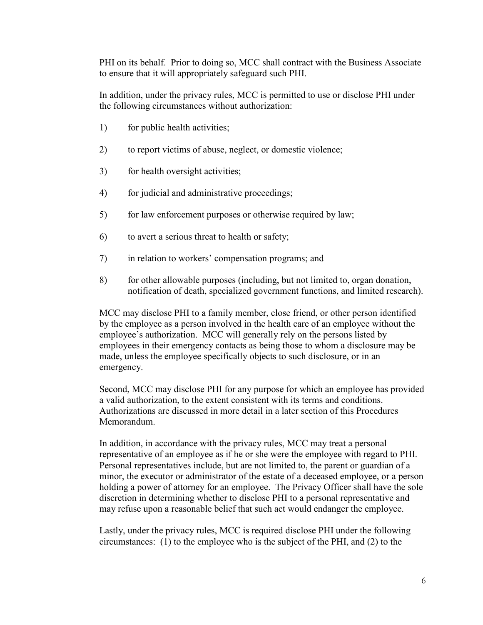PHI on its behalf. Prior to doing so, MCC shall contract with the Business Associate to ensure that it will appropriately safeguard such PHI.

In addition, under the privacy rules, MCC is permitted to use or disclose PHI under the following circumstances without authorization:

- 1) for public health activities;
- 2) to report victims of abuse, neglect, or domestic violence;
- 3) for health oversight activities;
- 4) for judicial and administrative proceedings;
- 5) for law enforcement purposes or otherwise required by law;
- 6) to avert a serious threat to health or safety;
- 7) in relation to workers' compensation programs; and
- 8) for other allowable purposes (including, but not limited to, organ donation, notification of death, specialized government functions, and limited research).

MCC may disclose PHI to a family member, close friend, or other person identified by the employee as a person involved in the health care of an employee without the employee's authorization. MCC will generally rely on the persons listed by employees in their emergency contacts as being those to whom a disclosure may be made, unless the employee specifically objects to such disclosure, or in an emergency.

Second, MCC may disclose PHI for any purpose for which an employee has provided a valid authorization, to the extent consistent with its terms and conditions. Authorizations are discussed in more detail in a later section of this Procedures Memorandum.

In addition, in accordance with the privacy rules, MCC may treat a personal representative of an employee as if he or she were the employee with regard to PHI. Personal representatives include, but are not limited to, the parent or guardian of a minor, the executor or administrator of the estate of a deceased employee, or a person holding a power of attorney for an employee. The Privacy Officer shall have the sole discretion in determining whether to disclose PHI to a personal representative and may refuse upon a reasonable belief that such act would endanger the employee.

Lastly, under the privacy rules, MCC is required disclose PHI under the following circumstances: (1) to the employee who is the subject of the PHI, and (2) to the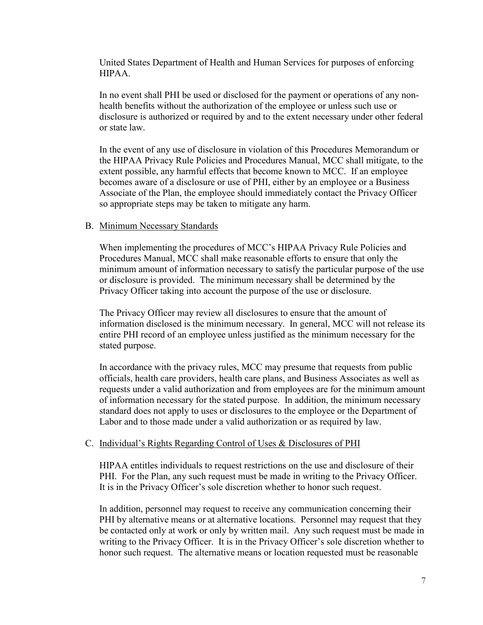United States Department of Health and Human Services for purposes of enforcing HIPAA.

In no event shall PHI be used or disclosed for the payment or operations of any nonhealth benefits without the authorization of the employee or unless such use or disclosure is authorized or required by and to the extent necessary under other federal or state law.

In the event of any use of disclosure in violation of this Procedures Memorandum or the HIPAA Privacy Rule Policies and Procedures Manual, MCC shall mitigate, to the extent possible, any harmful effects that become known to MCC. If an employee becomes aware of a disclosure or use of PHI, either by an employee or a Business Associate of the Plan, the employee should immediately contact the Privacy Officer so appropriate steps may be taken to mitigate any harm.

## B. Minimum Necessary Standards

When implementing the procedures of MCC's HIPAA Privacy Rule Policies and Procedures Manual, MCC shall make reasonable efforts to ensure that only the minimum amount of information necessary to satisfy the particular purpose of the use or disclosure is provided. The minimum necessary shall be determined by the Privacy Officer taking into account the purpose of the use or disclosure.

The Privacy Officer may review all disclosures to ensure that the amount of information disclosed is the minimum necessary. In general, MCC will not release its entire PHI record of an employee unless justified as the minimum necessary for the stated purpose.

In accordance with the privacy rules, MCC may presume that requests from public officials, health care providers, health care plans, and Business Associates as well as requests under a valid authorization and from employees are for the minimum amount of information necessary for the stated purpose. In addition, the minimum necessary standard does not apply to uses or disclosures to the employee or the Department of Labor and to those made under a valid authorization or as required by law.

### C. Individual's Rights Regarding Control of Uses & Disclosures of PHI

HIPAA entitles individuals to request restrictions on the use and disclosure of their PHI. For the Plan, any such request must be made in writing to the Privacy Officer. It is in the Privacy Officer's sole discretion whether to honor such request.

In addition, personnel may request to receive any communication concerning their PHI by alternative means or at alternative locations. Personnel may request that they be contacted only at work or only by written mail. Any such request must be made in writing to the Privacy Officer. It is in the Privacy Officer's sole discretion whether to honor such request. The alternative means or location requested must be reasonable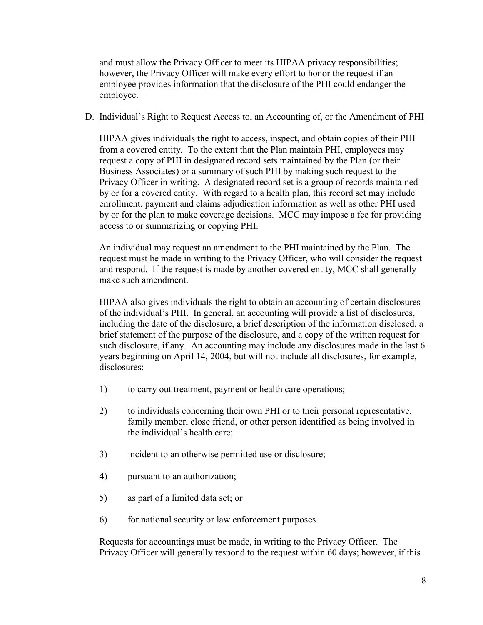and must allow the Privacy Officer to meet its HIPAA privacy responsibilities; however, the Privacy Officer will make every effort to honor the request if an employee provides information that the disclosure of the PHI could endanger the employee.

## D. Individual's Right to Request Access to, an Accounting of, or the Amendment of PHI

HIPAA gives individuals the right to access, inspect, and obtain copies of their PHI from a covered entity. To the extent that the Plan maintain PHI, employees may request a copy of PHI in designated record sets maintained by the Plan (or their Business Associates) or a summary of such PHI by making such request to the Privacy Officer in writing. A designated record set is a group of records maintained by or for a covered entity. With regard to a health plan, this record set may include enrollment, payment and claims adjudication information as well as other PHI used by or for the plan to make coverage decisions. MCC may impose a fee for providing access to or summarizing or copying PHI.

An individual may request an amendment to the PHI maintained by the Plan. The request must be made in writing to the Privacy Officer, who will consider the request and respond. If the request is made by another covered entity, MCC shall generally make such amendment.

HIPAA also gives individuals the right to obtain an accounting of certain disclosures of the individual's PHI. In general, an accounting will provide a list of disclosures, including the date of the disclosure, a brief description of the information disclosed, a brief statement of the purpose of the disclosure, and a copy of the written request for such disclosure, if any. An accounting may include any disclosures made in the last 6 years beginning on April 14, 2004, but will not include all disclosures, for example, disclosures:

- 1) to carry out treatment, payment or health care operations;
- 2) to individuals concerning their own PHI or to their personal representative, family member, close friend, or other person identified as being involved in the individual's health care;
- 3) incident to an otherwise permitted use or disclosure;
- 4) pursuant to an authorization;
- 5) as part of a limited data set; or
- 6) for national security or law enforcement purposes.

Requests for accountings must be made, in writing to the Privacy Officer. The Privacy Officer will generally respond to the request within 60 days; however, if this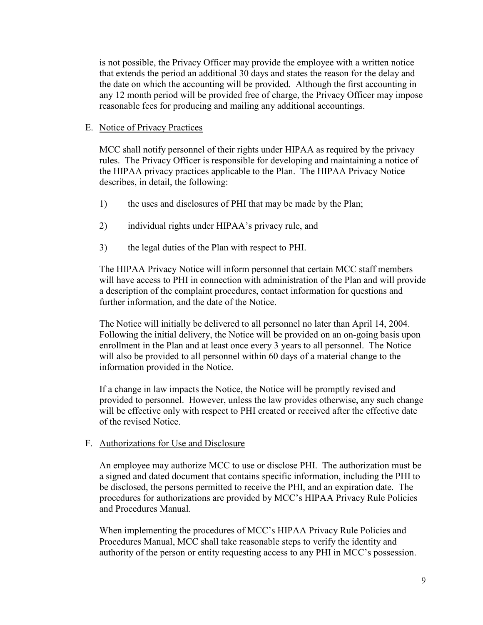is not possible, the Privacy Officer may provide the employee with a written notice that extends the period an additional 30 days and states the reason for the delay and the date on which the accounting will be provided. Although the first accounting in any 12 month period will be provided free of charge, the Privacy Officer may impose reasonable fees for producing and mailing any additional accountings.

## E. Notice of Privacy Practices

MCC shall notify personnel of their rights under HIPAA as required by the privacy rules. The Privacy Officer is responsible for developing and maintaining a notice of the HIPAA privacy practices applicable to the Plan. The HIPAA Privacy Notice describes, in detail, the following:

- 1) the uses and disclosures of PHI that may be made by the Plan;
- 2) individual rights under HIPAA's privacy rule, and
- 3) the legal duties of the Plan with respect to PHI.

The HIPAA Privacy Notice will inform personnel that certain MCC staff members will have access to PHI in connection with administration of the Plan and will provide a description of the complaint procedures, contact information for questions and further information, and the date of the Notice.

The Notice will initially be delivered to all personnel no later than April 14, 2004. Following the initial delivery, the Notice will be provided on an on-going basis upon enrollment in the Plan and at least once every 3 years to all personnel. The Notice will also be provided to all personnel within 60 days of a material change to the information provided in the Notice.

If a change in law impacts the Notice, the Notice will be promptly revised and provided to personnel. However, unless the law provides otherwise, any such change will be effective only with respect to PHI created or received after the effective date of the revised Notice.

## F. Authorizations for Use and Disclosure

An employee may authorize MCC to use or disclose PHI. The authorization must be a signed and dated document that contains specific information, including the PHI to be disclosed, the persons permitted to receive the PHI, and an expiration date. The procedures for authorizations are provided by MCC's HIPAA Privacy Rule Policies and Procedures Manual.

When implementing the procedures of MCC's HIPAA Privacy Rule Policies and Procedures Manual, MCC shall take reasonable steps to verify the identity and authority of the person or entity requesting access to any PHI in MCC's possession.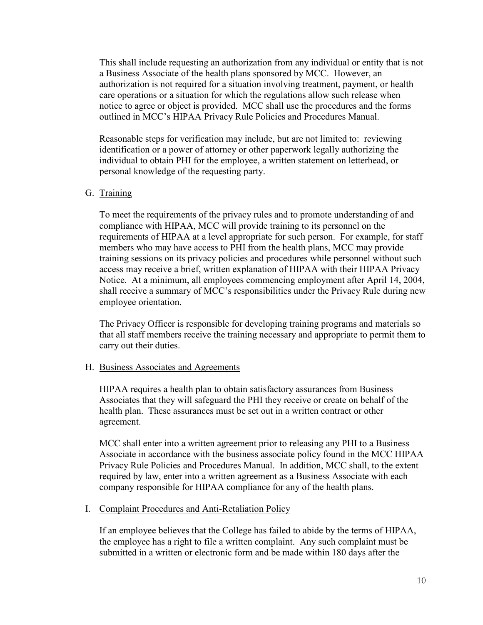This shall include requesting an authorization from any individual or entity that is not a Business Associate of the health plans sponsored by MCC. However, an authorization is not required for a situation involving treatment, payment, or health care operations or a situation for which the regulations allow such release when notice to agree or object is provided. MCC shall use the procedures and the forms outlined in MCC's HIPAA Privacy Rule Policies and Procedures Manual.

Reasonable steps for verification may include, but are not limited to: reviewing identification or a power of attorney or other paperwork legally authorizing the individual to obtain PHI for the employee, a written statement on letterhead, or personal knowledge of the requesting party.

### G. Training

To meet the requirements of the privacy rules and to promote understanding of and compliance with HIPAA, MCC will provide training to its personnel on the requirements of HIPAA at a level appropriate for such person. For example, for staff members who may have access to PHI from the health plans, MCC may provide training sessions on its privacy policies and procedures while personnel without such access may receive a brief, written explanation of HIPAA with their HIPAA Privacy Notice. At a minimum, all employees commencing employment after April 14, 2004, shall receive a summary of MCC's responsibilities under the Privacy Rule during new employee orientation.

The Privacy Officer is responsible for developing training programs and materials so that all staff members receive the training necessary and appropriate to permit them to carry out their duties.

### H. Business Associates and Agreements

HIPAA requires a health plan to obtain satisfactory assurances from Business Associates that they will safeguard the PHI they receive or create on behalf of the health plan. These assurances must be set out in a written contract or other agreement.

MCC shall enter into a written agreement prior to releasing any PHI to a Business Associate in accordance with the business associate policy found in the MCC HIPAA Privacy Rule Policies and Procedures Manual. In addition, MCC shall, to the extent required by law, enter into a written agreement as a Business Associate with each company responsible for HIPAA compliance for any of the health plans.

### I. Complaint Procedures and Anti-Retaliation Policy

If an employee believes that the College has failed to abide by the terms of HIPAA, the employee has a right to file a written complaint. Any such complaint must be submitted in a written or electronic form and be made within 180 days after the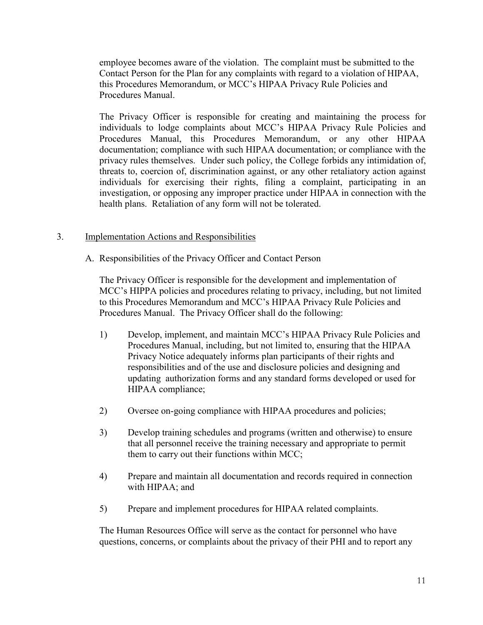employee becomes aware of the violation. The complaint must be submitted to the Contact Person for the Plan for any complaints with regard to a violation of HIPAA, this Procedures Memorandum, or MCC's HIPAA Privacy Rule Policies and Procedures Manual.

The Privacy Officer is responsible for creating and maintaining the process for individuals to lodge complaints about MCC's HIPAA Privacy Rule Policies and Procedures Manual, this Procedures Memorandum, or any other HIPAA documentation; compliance with such HIPAA documentation; or compliance with the privacy rules themselves. Under such policy, the College forbids any intimidation of, threats to, coercion of, discrimination against, or any other retaliatory action against individuals for exercising their rights, filing a complaint, participating in an investigation, or opposing any improper practice under HIPAA in connection with the health plans. Retaliation of any form will not be tolerated.

## 3. Implementation Actions and Responsibilities

A. Responsibilities of the Privacy Officer and Contact Person

The Privacy Officer is responsible for the development and implementation of MCC's HIPPA policies and procedures relating to privacy, including, but not limited to this Procedures Memorandum and MCC's HIPAA Privacy Rule Policies and Procedures Manual. The Privacy Officer shall do the following:

- 1) Develop, implement, and maintain MCC's HIPAA Privacy Rule Policies and Procedures Manual, including, but not limited to, ensuring that the HIPAA Privacy Notice adequately informs plan participants of their rights and responsibilities and of the use and disclosure policies and designing and updating authorization forms and any standard forms developed or used for HIPAA compliance;
- 2) Oversee on-going compliance with HIPAA procedures and policies;
- 3) Develop training schedules and programs (written and otherwise) to ensure that all personnel receive the training necessary and appropriate to permit them to carry out their functions within MCC;
- 4) Prepare and maintain all documentation and records required in connection with HIPAA; and
- 5) Prepare and implement procedures for HIPAA related complaints.

The Human Resources Office will serve as the contact for personnel who have questions, concerns, or complaints about the privacy of their PHI and to report any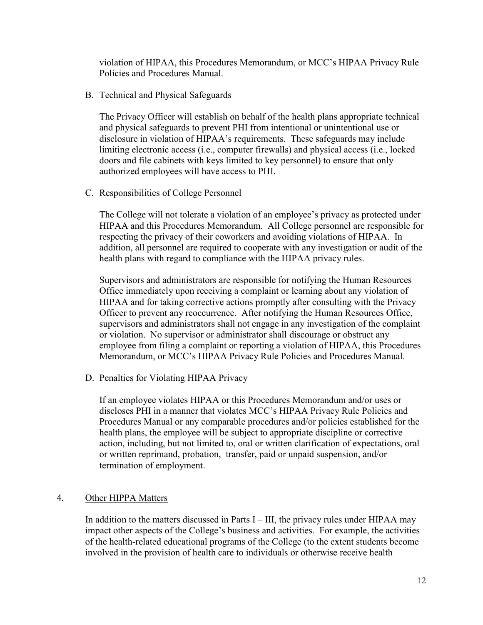violation of HIPAA, this Procedures Memorandum, or MCC's HIPAA Privacy Rule Policies and Procedures Manual.

B. Technical and Physical Safeguards

The Privacy Officer will establish on behalf of the health plans appropriate technical and physical safeguards to prevent PHI from intentional or unintentional use or disclosure in violation of HIPAA's requirements. These safeguards may include limiting electronic access (i.e., computer firewalls) and physical access (i.e., locked doors and file cabinets with keys limited to key personnel) to ensure that only authorized employees will have access to PHI.

C. Responsibilities of College Personnel

The College will not tolerate a violation of an employee's privacy as protected under HIPAA and this Procedures Memorandum. All College personnel are responsible for respecting the privacy of their coworkers and avoiding violations of HIPAA. In addition, all personnel are required to cooperate with any investigation or audit of the health plans with regard to compliance with the HIPAA privacy rules.

Supervisors and administrators are responsible for notifying the Human Resources Office immediately upon receiving a complaint or learning about any violation of HIPAA and for taking corrective actions promptly after consulting with the Privacy Officer to prevent any reoccurrence. After notifying the Human Resources Office, supervisors and administrators shall not engage in any investigation of the complaint or violation. No supervisor or administrator shall discourage or obstruct any employee from filing a complaint or reporting a violation of HIPAA, this Procedures Memorandum, or MCC's HIPAA Privacy Rule Policies and Procedures Manual.

D. Penalties for Violating HIPAA Privacy

If an employee violates HIPAA or this Procedures Memorandum and/or uses or discloses PHI in a manner that violates MCC's HIPAA Privacy Rule Policies and Procedures Manual or any comparable procedures and/or policies established for the health plans, the employee will be subject to appropriate discipline or corrective action, including, but not limited to, oral or written clarification of expectations, oral or written reprimand, probation, transfer, paid or unpaid suspension, and/or termination of employment.

# 4. Other HIPPA Matters

In addition to the matters discussed in Parts  $I$  – III, the privacy rules under HIPAA may impact other aspects of the College's business and activities. For example, the activities of the health-related educational programs of the College (to the extent students become involved in the provision of health care to individuals or otherwise receive health